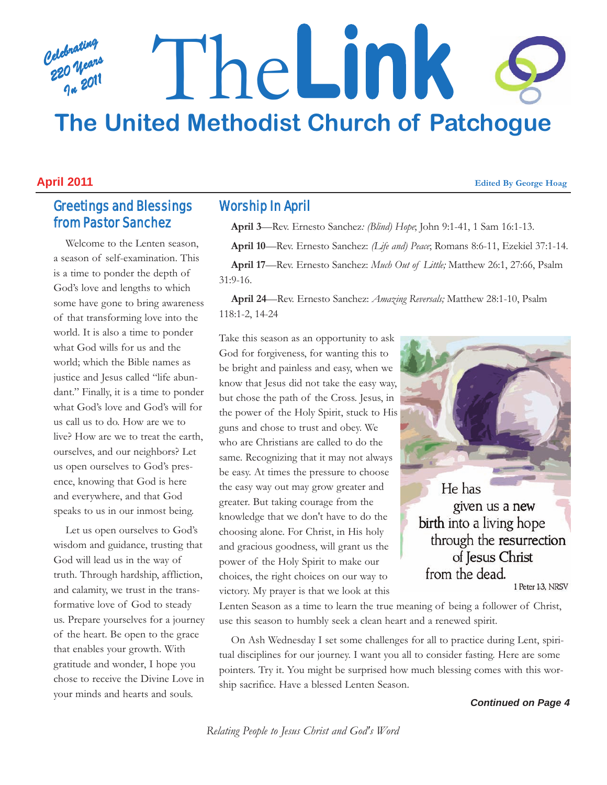# *Celebrating 220 Years In 2011* The**Link The United Methodist Church of Patchogue**

#### **April 2011 Edited By George Hoag**

# Greetings and Blessings from Pastor Sanchez

Welcome to the Lenten season, a season of self-examination. This is a time to ponder the depth of God's love and lengths to which some have gone to bring awareness of that transforming love into the world. It is also a time to ponder what God wills for us and the world; which the Bible names as justice and Jesus called "life abundant." Finally, it is a time to ponder what God's love and God's will for us call us to do. How are we to live? How are we to treat the earth, ourselves, and our neighbors? Let us open ourselves to God's presence, knowing that God is here and everywhere, and that God speaks to us in our inmost being.

Let us open ourselves to God's wisdom and guidance, trusting that God will lead us in the way of truth. Through hardship, affliction, and calamity, we trust in the transformative love of God to steady us. Prepare yourselves for a journey of the heart. Be open to the grace that enables your growth. With gratitude and wonder, I hope you chose to receive the Divine Love in your minds and hearts and souls.

# Worship In April

**April 3**—Rev. Ernesto Sanchez*: (Blind) Hope*; John 9:1-41, 1 Sam 16:1-13.

**April 10**—Rev. Ernesto Sanchez: *(Life and) Peace*; Romans 8:6-11, Ezekiel 37:1-14.

**April 17**—Rev. Ernesto Sanchez: *Much Out of Little;* Matthew 26:1, 27:66, Psalm 31:9-16.

**April 24**—Rev. Ernesto Sanchez: *Amazing Reversals;* Matthew 28:1-10, Psalm 118:1-2, 14-24

Take this season as an opportunity to ask God for forgiveness, for wanting this to be bright and painless and easy, when we know that Jesus did not take the easy way, but chose the path of the Cross. Jesus, in the power of the Holy Spirit, stuck to His guns and chose to trust and obey. We who are Christians are called to do the same. Recognizing that it may not always be easy. At times the pressure to choose the easy way out may grow greater and greater. But taking courage from the knowledge that we don't have to do the choosing alone. For Christ, in His holy and gracious goodness, will grant us the power of the Holy Spirit to make our choices, the right choices on our way to victory. My prayer is that we look at this

He has given us a new birth into a living hope through the resurrection of Jesus Christ

from the dead.

1 Peter 1:3, NRSV

Lenten Season as a time to learn the true meaning of being a follower of Christ, use this season to humbly seek a clean heart and a renewed spirit.

On Ash Wednesday I set some challenges for all to practice during Lent, spiritual disciplines for our journey. I want you all to consider fasting. Here are some pointers. Try it. You might be surprised how much blessing comes with this worship sacrifice. Have a blessed Lenten Season.

*Continued on Page 4*

*Relating People to Jesus Christ and God's Word*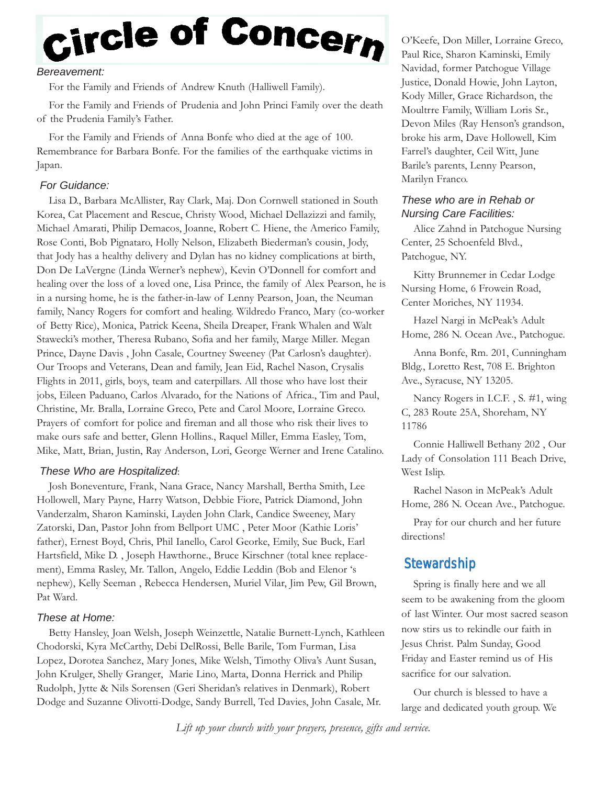# Circle of Concern

#### *Bereavement:*

For the Family and Friends of Andrew Knuth (Halliwell Family).

For the Family and Friends of Prudenia and John Princi Family over the death of the Prudenia Family's Father.

For the Family and Friends of Anna Bonfe who died at the age of 100. Remembrance for Barbara Bonfe. For the families of the earthquake victims in Japan.

#### *For Guidance:*

Lisa D., Barbara McAllister, Ray Clark, Maj. Don Cornwell stationed in South Korea, Cat Placement and Rescue, Christy Wood, Michael Dellazizzi and family, Michael Amarati, Philip Demacos, Joanne, Robert C. Hiene, the Americo Family, Rose Conti, Bob Pignataro, Holly Nelson, Elizabeth Biederman's cousin, Jody, that Jody has a healthy delivery and Dylan has no kidney complications at birth, Don De LaVergne (Linda Werner's nephew), Kevin O'Donnell for comfort and healing over the loss of a loved one, Lisa Prince, the family of Alex Pearson, he is in a nursing home, he is the father-in-law of Lenny Pearson, Joan, the Neuman family, Nancy Rogers for comfort and healing. Wildredo Franco, Mary (co-worker of Betty Rice), Monica, Patrick Keena, Sheila Dreaper, Frank Whalen and Walt Stawecki's mother, Theresa Rubano, Sofia and her family, Marge Miller. Megan Prince, Dayne Davis , John Casale, Courtney Sweeney (Pat Carlosn's daughter). Our Troops and Veterans, Dean and family, Jean Eid, Rachel Nason, Crysalis Flights in 2011, girls, boys, team and caterpillars. All those who have lost their jobs, Eileen Paduano, Carlos Alvarado, for the Nations of Africa., Tim and Paul, Christine, Mr. Bralla, Lorraine Greco, Pete and Carol Moore, Lorraine Greco. Prayers of comfort for police and fireman and all those who risk their lives to make ours safe and better, Glenn Hollins., Raquel Miller, Emma Easley, Tom, Mike, Matt, Brian, Justin, Ray Anderson, Lori, George Werner and Irene Catalino.

#### *These Who are Hospitalized*:

Josh Boneventure, Frank, Nana Grace, Nancy Marshall, Bertha Smith, Lee Hollowell, Mary Payne, Harry Watson, Debbie Fiore, Patrick Diamond, John Vanderzalm, Sharon Kaminski, Layden John Clark, Candice Sweeney, Mary Zatorski, Dan, Pastor John from Bellport UMC , Peter Moor (Kathie Loris' father), Ernest Boyd, Chris, Phil Ianello, Carol Georke, Emily, Sue Buck, Earl Hartsfield, Mike D. , Joseph Hawthorne., Bruce Kirschner (total knee replacement), Emma Rasley, Mr. Tallon, Angelo, Eddie Leddin (Bob and Elenor 's nephew), Kelly Seeman , Rebecca Hendersen, Muriel Vilar, Jim Pew, Gil Brown, Pat Ward.

#### *These at Home:*

Betty Hansley, Joan Welsh, Joseph Weinzettle, Natalie Burnett-Lynch, Kathleen Chodorski, Kyra McCarthy, Debi DelRossi, Belle Barile, Tom Furman, Lisa Lopez, Dorotea Sanchez, Mary Jones, Mike Welsh, Timothy Oliva's Aunt Susan, John Krulger, Shelly Granger, Marie Lino, Marta, Donna Herrick and Philip Rudolph, Jytte & Nils Sorensen (Geri Sheridan's relatives in Denmark), Robert Dodge and Suzanne Olivotti-Dodge, Sandy Burrell, Ted Davies, John Casale, Mr.

O'Keefe, Don Miller, Lorraine Greco, Paul Rice, Sharon Kaminski, Emily Navidad, former Patchogue Village Justice, Donald Howie, John Layton, Kody Miller, Grace Richardson, the Moultrre Family, William Loris Sr., Devon Miles (Ray Henson's grandson, broke his arm, Dave Hollowell, Kim Farrel's daughter, Ceil Witt, June Barile's parents, Lenny Pearson, Marilyn Franco.

#### *These who are in Rehab or Nursing Care Facilities:*

Alice Zahnd in Patchogue Nursing Center, 25 Schoenfeld Blvd., Patchogue, NY.

Kitty Brunnemer in Cedar Lodge Nursing Home, 6 Frowein Road, Center Moriches, NY 11934.

Hazel Nargi in McPeak's Adult Home, 286 N. Ocean Ave., Patchogue.

Anna Bonfe, Rm. 201, Cunningham Bldg., Loretto Rest, 708 E. Brighton Ave., Syracuse, NY 13205.

Nancy Rogers in I.C.F. , S. #1, wing C, 283 Route 25A, Shoreham, NY 11786

Connie Halliwell Bethany 202 , Our Lady of Consolation 111 Beach Drive, West Islip.

Rachel Nason in McPeak's Adult Home, 286 N. Ocean Ave., Patchogue.

Pray for our church and her future directions!

## **Stewardship**

Spring is finally here and we all seem to be awakening from the gloom of last Winter. Our most sacred season now stirs us to rekindle our faith in Jesus Christ. Palm Sunday, Good Friday and Easter remind us of His sacrifice for our salvation.

Our church is blessed to have a large and dedicated youth group. We

*Lift up your church with your prayers, presence, gifts and service.*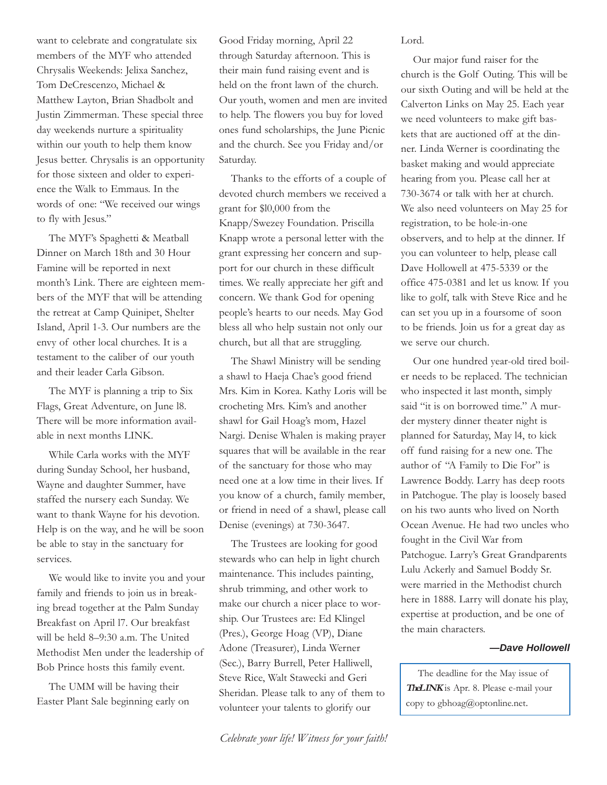want to celebrate and congratulate six members of the MYF who attended Chrysalis Weekends: Jelixa Sanchez, Tom DeCrescenzo, Michael & Matthew Layton, Brian Shadbolt and Justin Zimmerman. These special three day weekends nurture a spirituality within our youth to help them know Jesus better. Chrysalis is an opportunity for those sixteen and older to experience the Walk to Emmaus. In the words of one: "We received our wings to fly with Jesus."

The MYF's Spaghetti & Meatball Dinner on March 18th and 30 Hour Famine will be reported in next month's Link. There are eighteen members of the MYF that will be attending the retreat at Camp Quinipet, Shelter Island, April 1-3. Our numbers are the envy of other local churches. It is a testament to the caliber of our youth and their leader Carla Gibson.

The MYF is planning a trip to Six Flags, Great Adventure, on June l8. There will be more information available in next months LINK.

While Carla works with the MYF during Sunday School, her husband, Wayne and daughter Summer, have staffed the nursery each Sunday. We want to thank Wayne for his devotion. Help is on the way, and he will be soon be able to stay in the sanctuary for services.

We would like to invite you and your family and friends to join us in breaking bread together at the Palm Sunday Breakfast on April l7. Our breakfast will be held 8–9:30 a.m. The United Methodist Men under the leadership of Bob Prince hosts this family event.

The UMM will be having their Easter Plant Sale beginning early on Good Friday morning, April 22 through Saturday afternoon. This is their main fund raising event and is held on the front lawn of the church. Our youth, women and men are invited to help. The flowers you buy for loved ones fund scholarships, the June Picnic and the church. See you Friday and/or Saturday.

Thanks to the efforts of a couple of devoted church members we received a grant for \$l0,000 from the Knapp/Swezey Foundation. Priscilla Knapp wrote a personal letter with the grant expressing her concern and support for our church in these difficult times. We really appreciate her gift and concern. We thank God for opening people's hearts to our needs. May God bless all who help sustain not only our church, but all that are struggling.

The Shawl Ministry will be sending a shawl to Haeja Chae's good friend Mrs. Kim in Korea. Kathy Loris will be crocheting Mrs. Kim's and another shawl for Gail Hoag's mom, Hazel Nargi. Denise Whalen is making prayer squares that will be available in the rear of the sanctuary for those who may need one at a low time in their lives. If you know of a church, family member, or friend in need of a shawl, please call Denise (evenings) at 730-3647.

The Trustees are looking for good stewards who can help in light church maintenance. This includes painting, shrub trimming, and other work to make our church a nicer place to worship. Our Trustees are: Ed Klingel (Pres.), George Hoag (VP), Diane Adone (Treasurer), Linda Werner (Sec.), Barry Burrell, Peter Halliwell, Steve Rice, Walt Stawecki and Geri Sheridan. Please talk to any of them to volunteer your talents to glorify our

Lord.

Our major fund raiser for the church is the Golf Outing. This will be our sixth Outing and will be held at the Calverton Links on May 25. Each year we need volunteers to make gift baskets that are auctioned off at the dinner. Linda Werner is coordinating the basket making and would appreciate hearing from you. Please call her at 730-3674 or talk with her at church. We also need volunteers on May 25 for registration, to be hole-in-one observers, and to help at the dinner. If you can volunteer to help, please call Dave Hollowell at 475-5339 or the office 475-0381 and let us know. If you like to golf, talk with Steve Rice and he can set you up in a foursome of soon to be friends. Join us for a great day as we serve our church.

Our one hundred year-old tired boiler needs to be replaced. The technician who inspected it last month, simply said "it is on borrowed time." A murder mystery dinner theater night is planned for Saturday, May l4, to kick off fund raising for a new one. The author of "A Family to Die For" is Lawrence Boddy. Larry has deep roots in Patchogue. The play is loosely based on his two aunts who lived on North Ocean Avenue. He had two uncles who fought in the Civil War from Patchogue. Larry's Great Grandparents Lulu Ackerly and Samuel Boddy Sr. were married in the Methodist church here in 1888. Larry will donate his play, expertise at production, and be one of the main characters.

#### *—Dave Hollowell*

The deadline for the May issue of **TheLINK** is Apr. 8. Please e-mail your copy to gbhoag@optonline.net.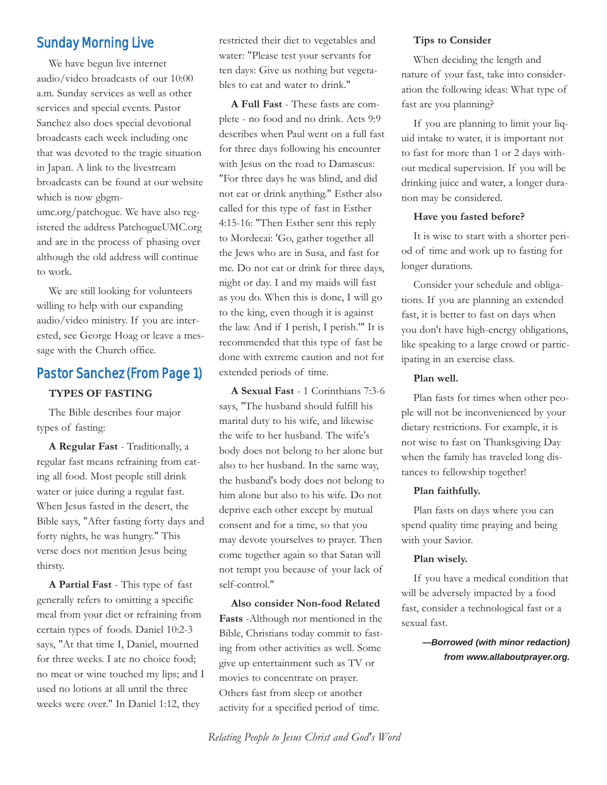# Sunday Morning Live

We have begun live internet audio/video broadcasts of our 10:00 a.m. Sunday services as well as other services and special events. Pastor Sanchez also does special devotional broadcasts each week including one that was devoted to the tragic situation in Japan. A link to the livestream broadcasts can be found at our website which is now gbgmumc.org/patchogue. We have also registered the address PatchogueUMC.org and are in the process of phasing over although the old address will continue to work.

We are still looking for volunteers willing to help with our expanding audio/video ministry. If you are interested, see George Hoag or leave a message with the Church office.

## Pastor Sanchez (From Page 1)

#### **TYPES OF FASTING**

The Bible describes four major types of fasting:

**A Regular Fast** - Traditionally, a regular fast means refraining from eating all food. Most people still drink water or juice during a regular fast. When Jesus fasted in the desert, the Bible says, "After fasting forty days and forty nights, he was hungry." This verse does not mention Jesus being thirsty.

**A Partial Fast** - This type of fast generally refers to omitting a specific meal from your diet or refraining from certain types of foods. Daniel 10:2-3 says, "At that time I, Daniel, mourned for three weeks. I ate no choice food; no meat or wine touched my lips; and I used no lotions at all until the three weeks were over." In Daniel 1:12, they

restricted their diet to vegetables and water: "Please test your servants for ten days: Give us nothing but vegetables to eat and water to drink."

**A Full Fast** - These fasts are complete - no food and no drink. Acts 9:9 describes when Paul went on a full fast for three days following his encounter with Jesus on the road to Damascus: "For three days he was blind, and did not eat or drink anything." Esther also called for this type of fast in Esther 4:15-16: "Then Esther sent this reply to Mordecai: 'Go, gather together all the Jews who are in Susa, and fast for me. Do not eat or drink for three days, night or day. I and my maids will fast as you do. When this is done, I will go to the king, even though it is against the law. And if I perish, I perish.'" It is recommended that this type of fast be done with extreme caution and not for extended periods of time.

**A Sexual Fast** - 1 Corinthians 7:3-6 says, "The husband should fulfill his marital duty to his wife, and likewise the wife to her husband. The wife's body does not belong to her alone but also to her husband. In the same way, the husband's body does not belong to him alone but also to his wife. Do not deprive each other except by mutual consent and for a time, so that you may devote yourselves to prayer. Then come together again so that Satan will not tempt you because of your lack of self-control."

**Also consider Non-food Related Fasts** -Although not mentioned in the Bible, Christians today commit to fasting from other activities as well. Some give up entertainment such as TV or movies to concentrate on prayer. Others fast from sleep or another activity for a specified period of time.

#### **Tips to Consider**

When deciding the length and nature of your fast, take into consideration the following ideas: What type of fast are you planning?

If you are planning to limit your liquid intake to water, it is important not to fast for more than 1 or 2 days without medical supervision. If you will be drinking juice and water, a longer duration may be considered.

#### **Have you fasted before?**

It is wise to start with a shorter period of time and work up to fasting for longer durations.

Consider your schedule and obligations. If you are planning an extended fast, it is better to fast on days when you don't have high-energy obligations, like speaking to a large crowd or participating in an exercise class.

#### **Plan well.**

Plan fasts for times when other people will not be inconvenienced by your dietary restrictions. For example, it is not wise to fast on Thanksgiving Day when the family has traveled long distances to fellowship together!

#### **Plan faithfully.**

Plan fasts on days where you can spend quality time praying and being with your Savior.

#### **Plan wisely.**

If you have a medical condition that will be adversely impacted by a food fast, consider a technological fast or a sexual fast.

> *—Borrowed (with minor redaction) from www.allaboutprayer.org.*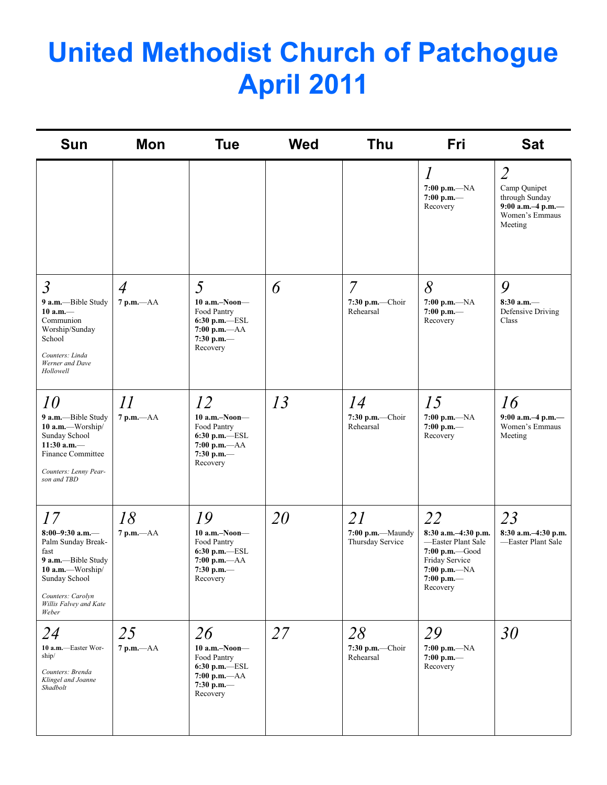# **United Methodist Church of Patchogue April 2011**

| <b>Sun</b>                                                                                                                                                               | Mon                            | <b>Tue</b>                                                                                                | <b>Wed</b> | <b>Thu</b>                                       | Fri                                                                                                                             | <b>Sat</b>                                                                                         |
|--------------------------------------------------------------------------------------------------------------------------------------------------------------------------|--------------------------------|-----------------------------------------------------------------------------------------------------------|------------|--------------------------------------------------|---------------------------------------------------------------------------------------------------------------------------------|----------------------------------------------------------------------------------------------------|
|                                                                                                                                                                          |                                |                                                                                                           |            |                                                  | $\overline{l}$<br>$7:00 p.m. -NA$<br>$7:00$ p.m.-<br>Recovery                                                                   | $\overline{2}$<br>Camp Qunipet<br>through Sunday<br>9:00 a.m.-4 p.m.-<br>Women's Emmaus<br>Meeting |
| $\mathfrak{Z}$<br>9 a.m.-Bible Study<br>$10 a.m.$ —<br>Communion<br>Worship/Sunday<br>School<br>Counters: Linda<br>Werner and Dave<br>Hollowell                          | $\overline{4}$<br>$7 p.m. -AA$ | 5<br>$10$ a.m.-Noon-<br>Food Pantry<br>6:30 p.m.-ESL<br>$7:00 p.m. -AA$<br>7:30 p.m.-<br>Recovery         | 6          | $\overline{7}$<br>$7:30$ p.m.-Choir<br>Rehearsal | 8<br>$7:00 p.m. -NA$<br>$7:00$ p.m.-<br>Recovery                                                                                | 9<br>$8:30$ a.m.-<br>Defensive Driving<br>Class                                                    |
| <i>10</i><br>9 a.m.-Bible Study<br>10 a.m.—Worship/<br>Sunday School<br>11:30 a.m. $-$<br><b>Finance Committee</b><br>Counters: Lenny Pear-<br>son and TBD               | 11<br>$7 p.m. -AA$             | 12<br>$10$ a.m.-Noon-<br>Food Pantry<br>6:30 p.m.-ESL<br>$7:00 p.m. -AA$<br>7:30 p.m.-<br>Recovery        | 13         | 14<br>7:30 p.m.-Choir<br>Rehearsal               | 15<br>$7:00 p.m. -NA$<br>7:00 p.m.-<br>Recovery                                                                                 | 16<br>9:00 a.m.-4 p.m.-<br>Women's Emmaus<br>Meeting                                               |
| 17<br>8:00-9:30 a.m.-<br>Palm Sunday Break-<br>fast<br>9 a.m.-Bible Study<br>$10$ a.m.—Worship/<br>Sunday School<br>Counters: Carolyn<br>Willis Falvey and Kate<br>Weber | 18<br>7 p.m.-- AA              | 19<br>$10$ a.m.-Noon-<br>Food Pantry<br>6:30 p.m.-ESL<br>$7:00 p.m. -AA$<br>7:30 p.m.-<br>Recovery        | 20         | 21<br>7:00 p.m.-Maundy<br>Thursday Service       | 22<br>8:30 a.m.-4:30 p.m.<br>-Easter Plant Sale<br>7:00 p.m. Good<br>Friday Service<br>$7:00 p.m. -NA$<br>7:00 p.m.<br>Recovery | 23<br>8:30 a.m.-4:30 p.m.<br>-Easter Plant Sale                                                    |
| 24<br>10 a.m.-Easter Wor-<br>ship/<br>Counters: Brenda<br>Klingel and Joanne<br>Shadbolt                                                                                 | 25<br>$7$ p.m. $-AA$           | 26<br>$10$ a.m.-Noon-<br>Food Pantry<br>$6:30$ p.m.- $-$ ESL<br>$7:00 p.m. -AA$<br>7:30 p.m.-<br>Recovery | 27         | 28<br>7:30 p.m.-Choir<br>Rehearsal               | 29<br>$7:00 p.m. -NA$<br>$7:00$ p.m.-<br>Recovery                                                                               | 30                                                                                                 |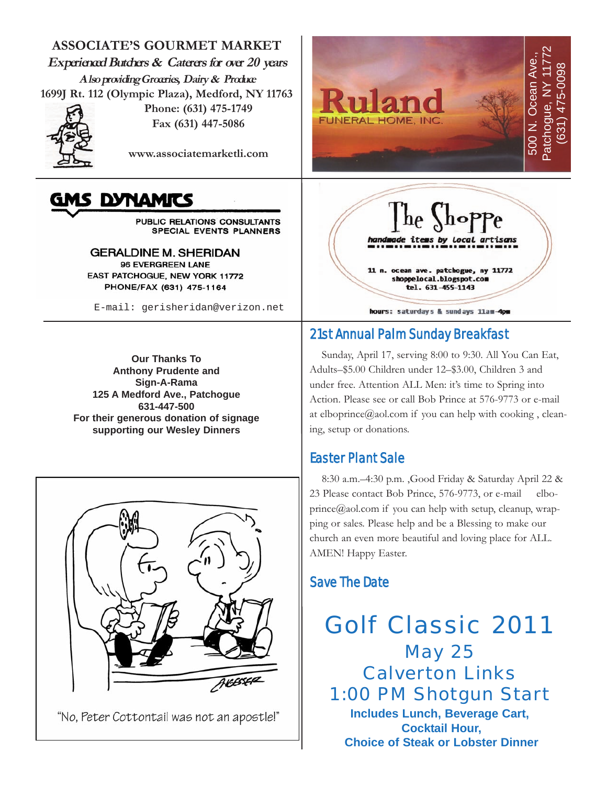**ASSOCIATE'S GOURMET MARKET Experienced Butchers & Caterers for over 20 years Also providing Groceries, Dairy & Produce 1699J Rt. 112 (Olympic Plaza), Medford, NY 11763 Phone: (631) 475-1749**



**Fax (631) 447-5086**

**www.associatemarketli.com**

# AS DYNAMITS

PUBLIC RELATIONS CONSULTANTS SPECIAL EVENTS PLANNERS

**GERALDINE M. SHERIDAN** 96 EVERGREEN LANE EAST PATCHOGUE, NEW YORK 11772 PHONE/FAX (631) 475-1164

E-mail: gerisheridan@verizon.net

**Our Thanks To Anthony Prudente and Sign-A-Rama 125 A Medford Ave., Patchogue 631-447-500 For their generous donation of signage supporting our Wesley Dinners**



"No, Peter Cottontail was not an apostle!"





# 21st Annual Palm Sunday Breakfast

Sunday, April 17, serving 8:00 to 9:30. All You Can Eat, Adults–\$5.00 Children under 12–\$3.00, Children 3 and under free. Attention ALL Men: it's time to Spring into Action. Please see or call Bob Prince at 576-9773 or e-mail at elboprince@aol.com if you can help with cooking , cleaning, setup or donations.

# Easter Plant Sale

8:30 a.m.–4:30 p.m. ,Good Friday & Saturday April 22 & 23 Please contact Bob Prince, 576-9773, or e-mail elboprince@aol.com if you can help with setup, cleanup, wrapping or sales. Please help and be a Blessing to make our church an even more beautiful and loving place for ALL. AMEN! Happy Easter.

# Save The Date

Golf Classic 2011 May 25 Calverton Links 1:00 PM Shotgun Start **Includes Lunch, Beverage Cart, Cocktail Hour, Choice of Steak or Lobster Dinner**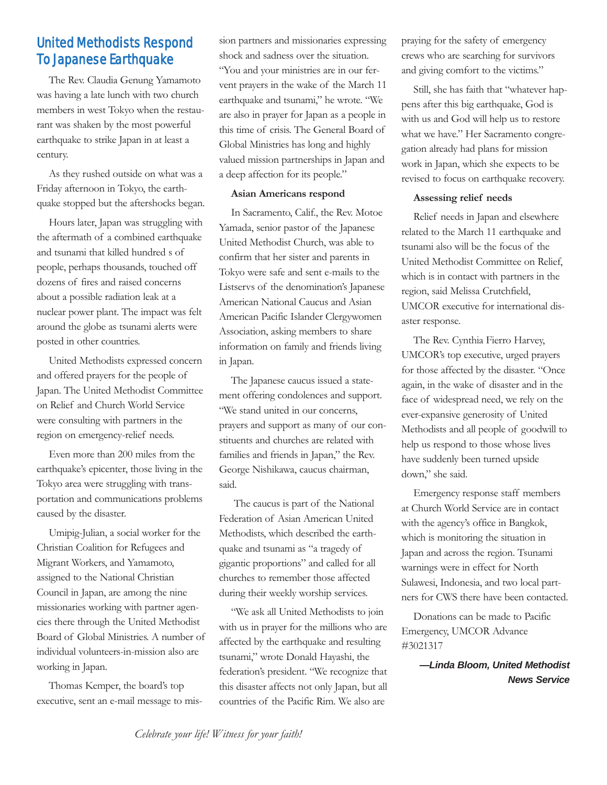# United Methodists Respond To Japanese Earthquake

The Rev. Claudia Genung Yamamoto was having a late lunch with two church members in west Tokyo when the restaurant was shaken by the most powerful earthquake to strike Japan in at least a century.

As they rushed outside on what was a Friday afternoon in Tokyo, the earthquake stopped but the aftershocks began.

Hours later, Japan was struggling with the aftermath of a combined earthquake and tsunami that killed hundred s of people, perhaps thousands, touched off dozens of fires and raised concerns about a possible radiation leak at a nuclear power plant. The impact was felt around the globe as tsunami alerts were posted in other countries.

United Methodists expressed concern and offered prayers for the people of Japan. The United Methodist Committee on Relief and Church World Service were consulting with partners in the region on emergency-relief needs.

Even more than 200 miles from the earthquake's epicenter, those living in the Tokyo area were struggling with transportation and communications problems caused by the disaster.

Umipig-Julian, a social worker for the Christian Coalition for Refugees and Migrant Workers, and Yamamoto, assigned to the National Christian Council in Japan, are among the nine missionaries working with partner agencies there through the United Methodist Board of Global Ministries. A number of individual volunteers-in-mission also are working in Japan.

Thomas Kemper, the board's top executive, sent an e-mail message to mission partners and missionaries expressing shock and sadness over the situation. "You and your ministries are in our fervent prayers in the wake of the March 11 earthquake and tsunami," he wrote. "We are also in prayer for Japan as a people in this time of crisis. The General Board of Global Ministries has long and highly valued mission partnerships in Japan and a deep affection for its people."

#### **Asian Americans respond**

In Sacramento, Calif., the Rev. Motoe Yamada, senior pastor of the Japanese United Methodist Church, was able to confirm that her sister and parents in Tokyo were safe and sent e-mails to the Listservs of the denomination's Japanese American National Caucus and Asian American Pacific Islander Clergywomen Association, asking members to share information on family and friends living in Japan.

The Japanese caucus issued a statement offering condolences and support. "We stand united in our concerns, prayers and support as many of our constituents and churches are related with families and friends in Japan," the Rev. George Nishikawa, caucus chairman, said.

The caucus is part of the National Federation of Asian American United Methodists, which described the earthquake and tsunami as "a tragedy of gigantic proportions" and called for all churches to remember those affected during their weekly worship services.

"We ask all United Methodists to join with us in prayer for the millions who are affected by the earthquake and resulting tsunami," wrote Donald Hayashi, the federation's president. "We recognize that this disaster affects not only Japan, but all countries of the Pacific Rim. We also are

praying for the safety of emergency crews who are searching for survivors and giving comfort to the victims."

Still, she has faith that "whatever happens after this big earthquake, God is with us and God will help us to restore what we have." Her Sacramento congregation already had plans for mission work in Japan, which she expects to be revised to focus on earthquake recovery.

#### **Assessing relief needs**

Relief needs in Japan and elsewhere related to the March 11 earthquake and tsunami also will be the focus of the United Methodist Committee on Relief, which is in contact with partners in the region, said Melissa Crutchfield, UMCOR executive for international disaster response.

The Rev. Cynthia Fierro Harvey, UMCOR's top executive, urged prayers for those affected by the disaster. "Once again, in the wake of disaster and in the face of widespread need, we rely on the ever-expansive generosity of United Methodists and all people of goodwill to help us respond to those whose lives have suddenly been turned upside down," she said.

Emergency response staff members at Church World Service are in contact with the agency's office in Bangkok, which is monitoring the situation in Japan and across the region. Tsunami warnings were in effect for North Sulawesi, Indonesia, and two local partners for CWS there have been contacted.

Donations can be made to Pacific Emergency, UMCOR Advance #3021317

> *—Linda Bloom, United Methodist News Service*